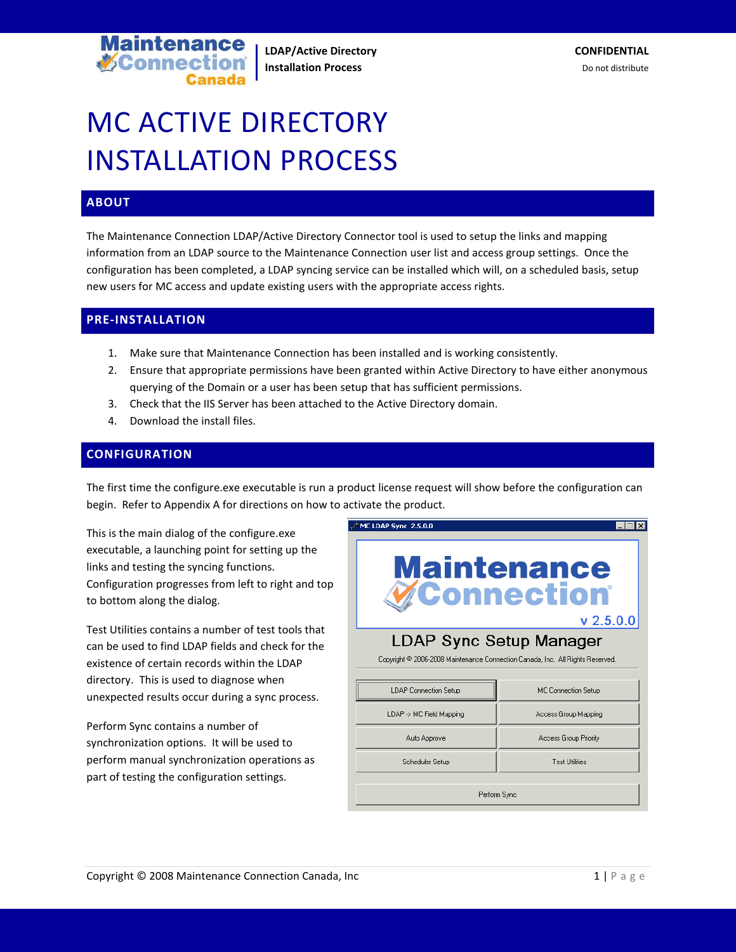

# MC ACTIVE DIRECTORY INSTALLATION PROCESS

#### **ABOUT**

The Maintenance Connection LDAP/Active Directory Connector tool is used to setup the links and mapping information from an LDAP source to the Maintenance Connection user list and access group settings. Once the configuration has been completed, a LDAP syncing service can be installed which will, on a scheduled basis, setup new users for MC access and update existing users with the appropriate access rights.

#### **PRE-INSTALLATION**

- 1. Make sure that Maintenance Connection has been installed and is working consistently.
- 2. Ensure that appropriate permissions have been granted within Active Directory to have either anonymous querying of the Domain or a user has been setup that has sufficient permissions.
- 3. Check that the IIS Server has been attached to the Active Directory domain.
- 4. Download the install files.

#### **CONFIGURATION**

The first time the configure.exe executable is run a product license request will show before the configuration can begin. Refer to Appendix A for directions on how to activate the product.

This is the main dialog of the configure.exe executable, a launching point for setting up the links and testing the syncing functions. Configuration progresses from left to right and top to bottom along the dialog.

Test Utilities contains a number of test tools that can be used to find LDAP fields and check for the existence of certain records within the LDAP directory. This is used to diagnose when unexpected results occur during a sync process.

Perform Sync contains a number of synchronization options. It will be used to perform manual synchronization operations as part of testing the configuration settings.

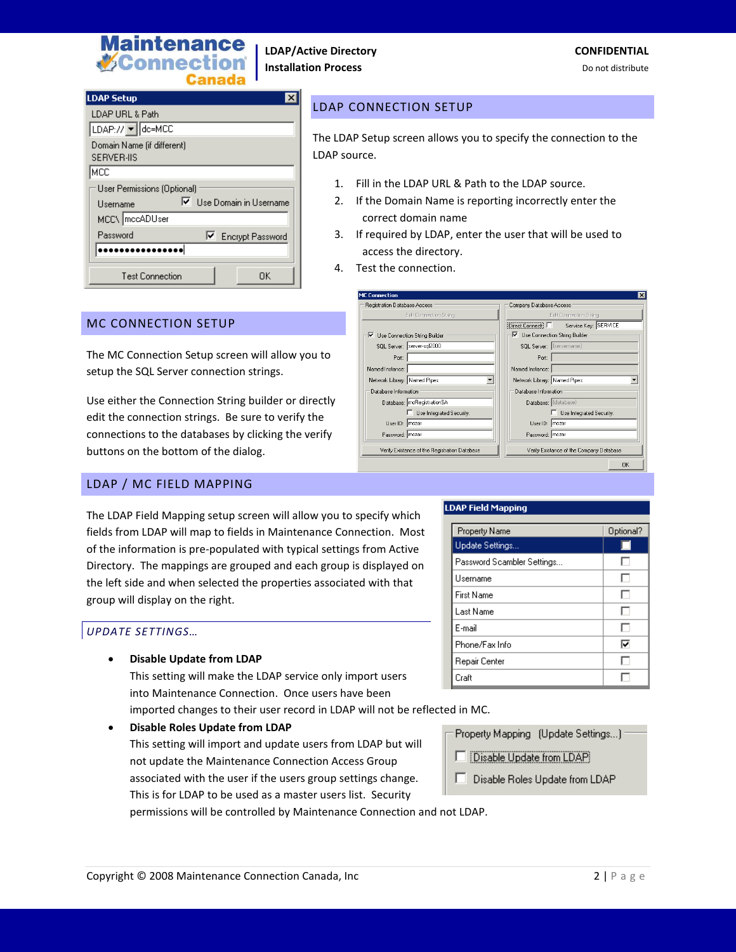

⊡

OK

| <b>LDAP Setup</b>                               |
|-------------------------------------------------|
| LDAP URL & Path                                 |
| LDAP:// v dc=MCC                                |
| Domain Name (if different)<br><b>SERVER-IIS</b> |
| MCC                                             |
| User Permissions (Optional)                     |
| Ⅳ Use Domain in Username<br>Username            |
| MCC\   mccADUser                                |
| Password<br>□ Encrypt Password                  |
|                                                 |
| Test Connection<br>ΠK                           |

#### LDAP CONNECTION SETUP

The LDAP Setup screen allows you to specify the connection to the LDAP source.

- 1. Fill in the LDAP URL & Path to the LDAP source.
- 2. If the Domain Name is reporting incorrectly enter the correct domain name
- 3. If required by LDAP, enter the user that will be used to access the directory.
- 4. Test the connection.

 $\overline{\blacktriangledown}$  Use Connection String Builder

Port:

Network Library: Named Pipes

User ID: mczar

Password: mczar

Database: mcRegistrationSA

 $\Box$  Use Integrated Security:

Verify Existance of the Registration Database

Named Instance:

Database Information

SQL Server: server-sql2000

**MC Connection** Registration Database Access

#### MC CONNECTION SETUP

The MC Connection Setup screen will allow you to setup the SQL Server connection strings.

Use either the Connection String builder or directly edit the connection strings. Be sure to verify the connections to the databases by clicking the verify buttons on the bottom of the dialog.

#### LDAP / MC FIELD MAPPING

The LDAP Field Mapping setup screen will allow you to specify which fields from LDAP will map to fields in Maintenance Connection. Most of the information is pre-populated with typical settings from Active Directory. The mappings are grouped and each group is displayed on the left side and when selected the properties associated with that group will display on the right.

#### *UPDATE SETTINGS…*

• **Disable Update from LDAP**

This setting will make the LDAP service only import users into Maintenance Connection. Once users have been

imported changes to their user record in LDAP will not be reflected in MC.

• **Disable Roles Update from LDAP** This setting will import and update users from LDAP but will not update the Maintenance Connection Access Group associated with the user if the users group settings change. This is for LDAP to be used as a master users list. Security

permissions will be controlled by Maintenance Connection and not LDAP.

#### LDAP Field Mapping

회

| Property Name              | Optional? |
|----------------------------|-----------|
| Update Settings            |           |
| Password Scambler Settings |           |
| Username                   |           |
| <b>First Name</b>          |           |
| Last Name                  | I.        |
| E-mail                     |           |
| Phone/Fax Info             | ঢ়        |
| Repair Center              |           |
| Craft                      |           |

Company Database Access

- Use Connection String Builder

SQL Server: (servernam

Network Library: Named Pipes

Database: (databa

User ID: mczar

Password: | mczar

Port:

Named Instance:

Database Information

Direct Connect: | Service Key: SERVICE

Use Integrated Security:

Verify Existance of the Company Database

#### Property Mapping (Update Settings...)

- Disable Update from LDAP
- п. Disable Roles Update from LDAP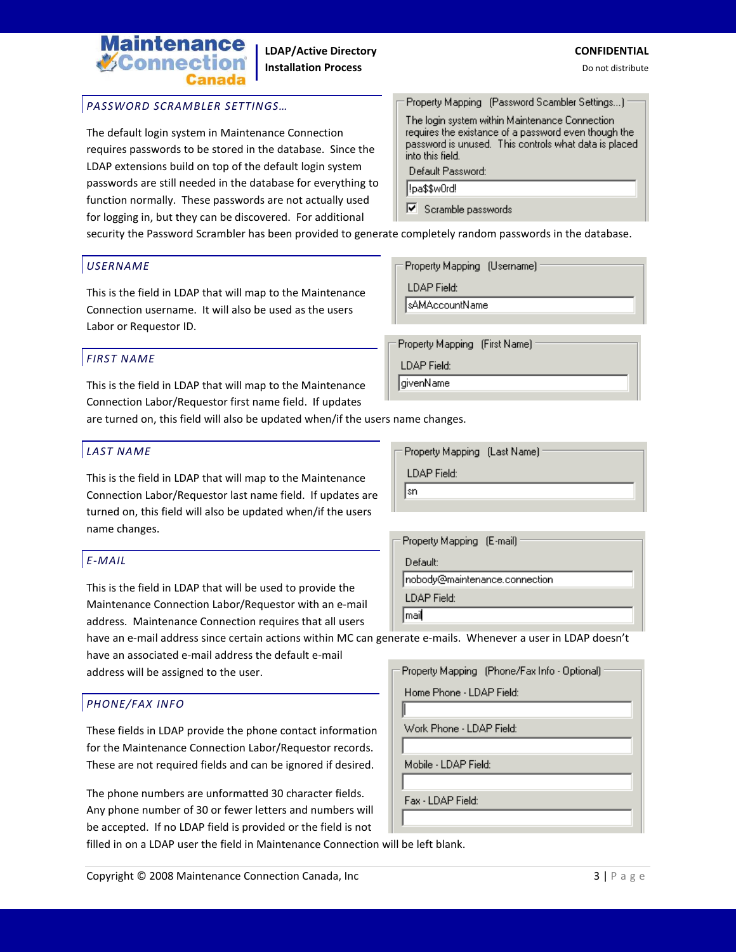## **itenance V**Connec

#### *PASSWORD SCRAMBLER SETTINGS…*

The default login system in Maintenance Connection requires passwords to be stored in the database. Since the LDAP extensions build on top of the default login system passwords are still needed in the database for everything to function normally. These passwords are not actually used for logging in, but they can be discovered. For additional

Property Mapping (Password Scambler Settings...) The login system within Maintenance Connection requires the existance of a password even though the password is unused. This controls what data is placed into this field. Default Password:

l!pa\$\$w0rd!

LDAP Field: ∥sAMAccountName

Property Mapping

**LDAP** Field: givenName

Scramble passwords

Property Mapping (Username)

security the Password Scrambler has been provided to generate completely random passwords in the database.

#### *USERNAME*

This is the field in LDAP that will map to the Maintenance Connection username. It will also be used as the users Labor or Requestor ID.

#### *FIRST NAME*

This is the field in LDAP that will map to the Maintenance Connection Labor/Requestor first name field. If updates

are turned on, this field will also be updated when/if the users name changes.

#### *LAST NAME*

This is the field in LDAP that will map to the Maintenance Connection Labor/Requestor last name field. If updates are turned on, this field will also be updated when/if the users name changes.

#### *E-MAIL*

This is the field in LDAP that will be used to provide the Maintenance Connection Labor/Requestor with an e-mail address. Maintenance Connection requires that all users

have an e-mail address since certain actions within MC can generate e-mails. Whenever a user in LDAP doesn't have an associated e-mail address the default e-mail

address will be assigned to the user.

#### *PHONE/FAX INFO*

These fields in LDAP provide the phone contact information for the Maintenance Connection Labor/Requestor records. These are not required fields and can be ignored if desired.

The phone numbers are unformatted 30 character fields. Any phone number of 30 or fewer letters and numbers will be accepted. If no LDAP field is provided or the field is not

filled in on a LDAP user the field in Maintenance Connection will be left blank.

Property Mapping (Last Name) **LDAP** Field: ∥sn

(First Name)

| - Property Mapping (E-mail)   |
|-------------------------------|
| Default:                      |
| nobody@maintenance.connection |
| LDAP Field:                   |
| mail                          |

Property Mapping (Phone/Fax Info - Optional)

Home Phone - LDAP Field:

Work Phone - LDAP Field:

Mobile - LDAP Field:

Fax - LDAP Field: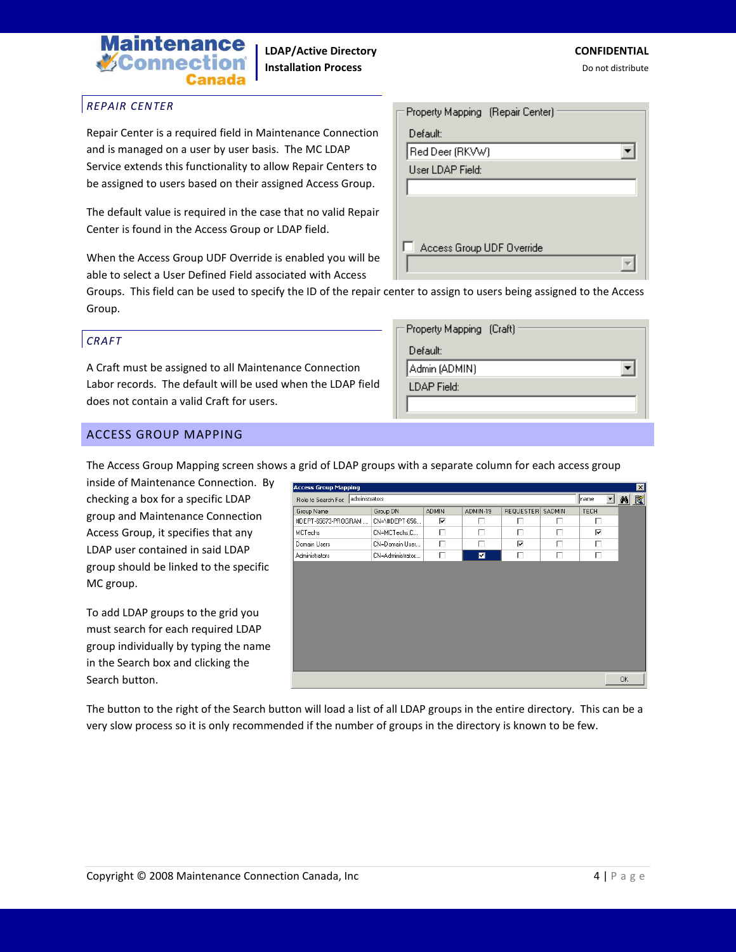

#### *REPAIR CENTER*

Repair Center is a required field in Maintenance Connection and is managed on a user by user basis. The MC LDAP Service extends this functionality to allow Repair Centers to be assigned to users based on their assigned Access Group.

The default value is required in the case that no valid Repair Center is found in the Access Group or LDAP field.

When the Access Group UDF Override is enabled you will be able to select a User Defined Field associated with Access

| - Property Mapping (Repair Center) |  |
|------------------------------------|--|
| Default:                           |  |
| Red Deer (RKVW)                    |  |
| User LDAP Field:                   |  |
|                                    |  |
|                                    |  |
|                                    |  |
| Access Group UDF Override          |  |
|                                    |  |
|                                    |  |

Groups. This field can be used to specify the ID of the repair center to assign to users being assigned to the Access Group.

#### *CRAFT*

A Craft must be assigned to all Maintenance Connection Labor records. The default will be used when the LDAP field does not contain a valid Craft for users.

| = Property Mapping (Craft) |
|----------------------------|
| Default:                   |
| Admin (ADMIN)              |
| LDAP Field:                |
|                            |

#### ACCESS GROUP MAPPING

The Access Group Mapping screen shows a grid of LDAP groups with a separate column for each access group

inside of Maintenance Connection. By checking a box for a specific LDAP group and Maintenance Connection Access Group, it specifies that any LDAP user contained in said LDAP group should be linked to the specific MC group.

To add LDAP groups to the grid you must search for each required LDAP group individually by typing the name in the Search box and clicking the Search button.

| $\overline{\mathbf{x}}$<br><b>Access Group Mapping</b> |                  |              |                |            |           |             |    |
|--------------------------------------------------------|------------------|--------------|----------------|------------|-----------|-------------|----|
| administrators<br>Role to Search For:                  |                  |              |                | 회<br> name | <b>ME</b> |             |    |
| Group Name                                             | Group DN         | <b>ADMIN</b> | ADMIN-19       | REQUESTER  | SADMIN    | <b>TECH</b> |    |
| #DEPT-65673-PROGRAM                                    | CN=\#DEPT-656    | ⊽            | п              | п          | п         | г           |    |
| MCTechs                                                | CN=MCTechs,C     | п            | п              | г          | п         | ⊽           |    |
| Domain Users                                           | CN=Domain User   | п            | г              | ⊽          | г         | п           |    |
| Administrators                                         | CN=Administrator | п            | $\blacksquare$ | п          | п         | п           |    |
|                                                        |                  |              |                |            |           |             |    |
|                                                        |                  |              |                |            |           |             | 0K |

The button to the right of the Search button will load a list of all LDAP groups in the entire directory. This can be a very slow process so it is only recommended if the number of groups in the directory is known to be few.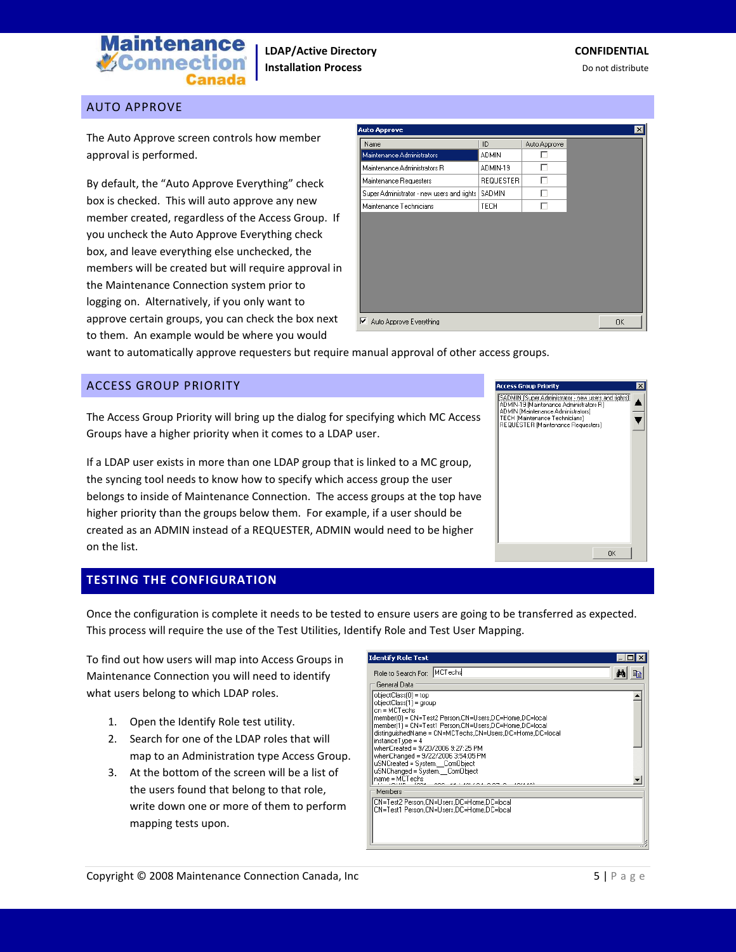

#### AUTO APPROVE

The Auto Approve screen controls how member approval is performed.

By default, the "Auto Approve Everything" check box is checked. This will auto approve any new member created, regardless of the Access Group. If you uncheck the Auto Approve Everything check box, and leave everything else unchecked, the members will be created but will require approval in the Maintenance Connection system prior to logging on. Alternatively, if you only want to approve certain groups, you can check the box next to them. An example would be where you would

| <b>Auto Approve</b>                        |                  |              |
|--------------------------------------------|------------------|--------------|
| Name                                       | ID               | Auto Approve |
| Maintenance Administrators                 | <b>ADMIN</b>     | г            |
| Maintenance Administrators R               | ADMIN-19         | г            |
| Maintenance Requesters                     | <b>REQUESTER</b> | г            |
| Super Administrator - new users and rights | SADMIN           | г            |
| Maintenance Technicians                    | TECH             | г            |
|                                            |                  |              |
| ⊽<br>Auto Approve Everything               |                  |              |

want to automatically approve requesters but require manual approval of other access groups.

#### ACCESS GROUP PRIORITY

The Access Group Priority will bring up the dialog for specifying which MC Access Groups have a higher priority when it comes to a LDAP user.

If a LDAP user exists in more than one LDAP group that is linked to a MC group, the syncing tool needs to know how to specify which access group the user belongs to inside of Maintenance Connection. The access groups at the top have higher priority than the groups below them. For example, if a user should be created as an ADMIN instead of a REQUESTER, ADMIN would need to be higher on the list.



#### **TESTING THE CONFIGURATION**

Once the configuration is complete it needs to be tested to ensure users are going to be transferred as expected. This process will require the use of the Test Utilities, Identify Role and Test User Mapping.

To find out how users will map into Access Groups in Maintenance Connection you will need to identify what users belong to which LDAP roles.

- 1. Open the Identify Role test utility.
- 2. Search for one of the LDAP roles that will map to an Administration type Access Group.
- 3. At the bottom of the screen will be a list of the users found that belong to that role, write down one or more of them to perform mapping tests upon.

| Identify Role Test                                                                                                                                                                                                                                                                                                                                                         |  |
|----------------------------------------------------------------------------------------------------------------------------------------------------------------------------------------------------------------------------------------------------------------------------------------------------------------------------------------------------------------------------|--|
| Role to Search For: MCTechs                                                                                                                                                                                                                                                                                                                                                |  |
| General Data                                                                                                                                                                                                                                                                                                                                                               |  |
| objectClass(0) = top<br>objectClass(1) = group<br>cn = MCTechs<br>member[0] = CN=Test2 Person,CN=Users,DC=Home,DC=local<br>distinguishedName = CN=MCTechs,CN=Users,DC=Home,DC=local<br>$instanceTwo = 4$<br>whenCreated = 9/20/2006 9:27:25 PM<br>whenChanged = 9/22/2006 3:54:05 PM<br>uSNCreated = System. ComObject<br>uSNChanged = System. ComObject<br>name = MCTechs |  |
| Members                                                                                                                                                                                                                                                                                                                                                                    |  |
| CN=Test2 Person.CN=Users.DC=Home.DC=local<br>CN=Test1 Person,CN=Users,DC=Home,DC=local                                                                                                                                                                                                                                                                                     |  |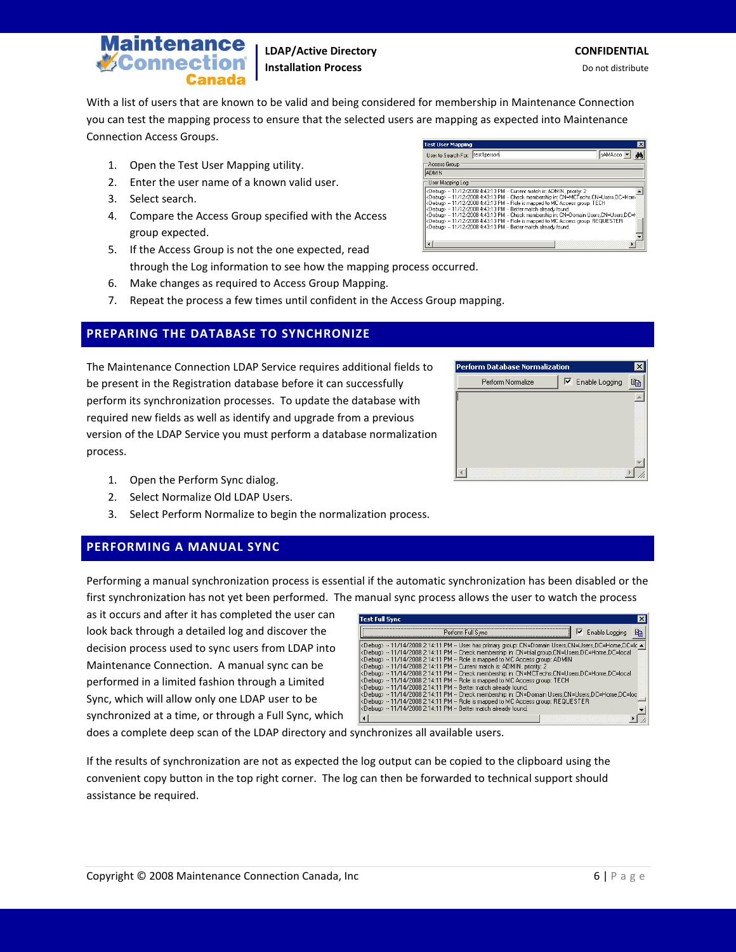

If the results of synchronization are not as expected the log output can be copied to the clipboard using the convenient copy button in the top right corner. The log can then be forwarded to technical support should assistance be required.

does a complete deep scan of the LDAP directory and synchronizes all available users.

performed in a limited fashion through a Limited Sync, which will allow only one LDAP user to be synchronized at a time, or through a Full Sync, which

as it occurs and after it has completed the user can **Test Full Sync** look back through a detailed log and discover the Perform Full Sync ■ 区 Enable Logging ■ decision process used to sync users from LDAP into

1. Open the Perform Sync dialog.

process.

Connection Access Groups.

**V**Connect

3. Select search.

group expected.

- 2. Select Normalize Old LDAP Users.
- 3. Select Perform Normalize to begin the normalization process.

### **PERFORMING A MANUAL SYNC**

Performing a manual synchronization process is essential if the automatic synchronization has been disabled or the first synchronization has not yet been performed. The manual sync process allows the user to watch the process

Maintenance Connection. A manual sync can be

# version of the LDAP Service you must perform a database normalization

The Maintenance Connection LDAP Service requires additional fields to be present in the Registration database before it can successfully perform its synchronization processes. To update the database with required new fields as well as identify and upgrade from a previous

### 6. Make changes as required to Access Group Mapping. 7. Repeat the process a few times until confident in the Access Group mapping.

4. Compare the Access Group specified with the Access

5. If the Access Group is not the one expected, read

## **PREPARING THE DATABASE TO SYNCHRONIZE**

1. Open the Test User Mapping utility. 2. Enter the user name of a known valid user.

**itenance** 

through the Log information to see how the mapping process occurred.

## Perform Database Normalization Perform Normalize  $\nabla$  Enable Logging 晒



 $\left\vert 1\right\rangle$ 



**LDAP/Active Directory CONFIDENTIAL Installation Process Do not distribute** Do not distribute

With a list of users that are known to be valid and being considered for membership in Maintenance Connection you can test the mapping process to ensure that the selected users are mapping as expected into Maintenance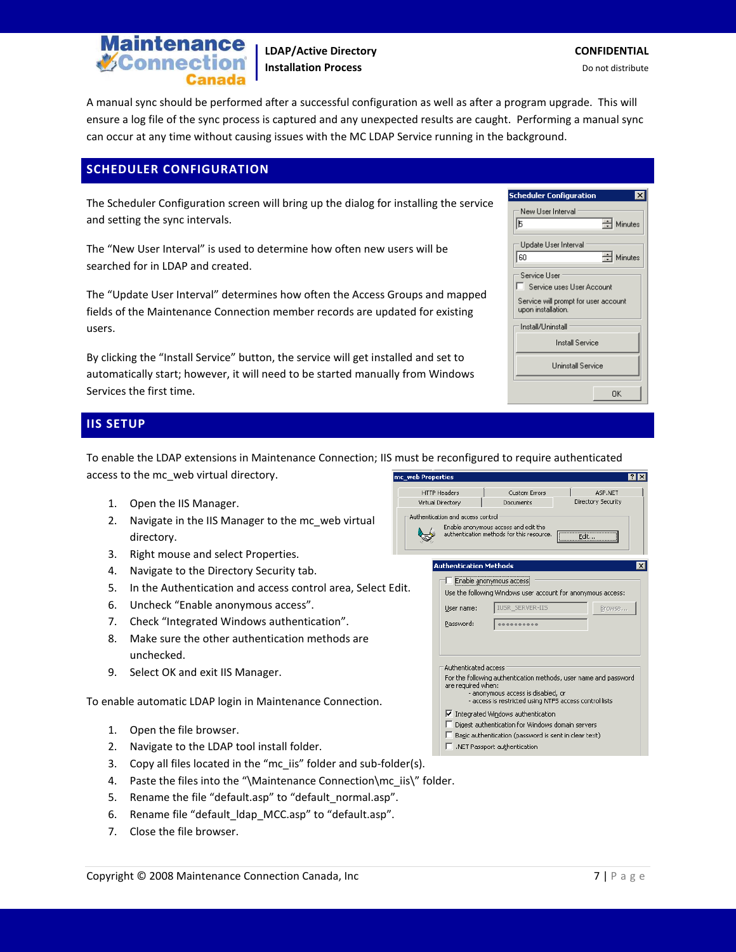

**LDAP/Active Directory CONFIDENTIAL Installation Process Do not distribute** Do not distribute

A manual sync should be performed after a successful configuration as well as after a program upgrade. This will ensure a log file of the sync process is captured and any unexpected results are caught. Performing a manual sync can occur at any time without causing issues with the MC LDAP Service running in the background.

#### **SCHEDULER CONFIGURATION**

The Scheduler Configuration screen will bring up the dialog for installing the service and setting the sync intervals.

The "New User Interval" is used to determine how often new users will be searched for in LDAP and created.

The "Update User Interval" determines how often the Access Groups and mapped fields of the Maintenance Connection member records are updated for existing users.

By clicking the "Install Service" button, the service will get installed and set to automatically start; however, it will need to be started manually from Windows Services the first time.

| <b>IIS SETUP</b> |  |  |
|------------------|--|--|
|                  |  |  |
|                  |  |  |

To enable the LDAP extensions in Maintenance Connection; IIS must be reconfigured to require authenticated access to the mc\_web virtual directory. mc\_web Properties  $7X$ 

Auth

- 1. Open the IIS Manager.
- 2. Navigate in the IIS Manager to the mc\_web virtual directory.
- 3. Right mouse and select Properties.
- 4. Navigate to the Directory Security tab.
- 5. In the Authentication and access control area, Select Edit.
- 6. Uncheck "Enable anonymous access".
- 7. Check "Integrated Windows authentication".
- 8. Make sure the other authentication methods are unchecked.
- 9. Select OK and exit IIS Manager.

To enable automatic LDAP login in Maintenance Connection.

- 1. Open the file browser.
- 2. Navigate to the LDAP tool install folder.
- 3. Copy all files located in the "mc\_iis" folder and sub-folder(s).
- 4. Paste the files into the "\Maintenance Connection\mc\_iis\" folder.
- 5. Rename the file "default.asp" to "default\_normal.asp".
- 6. Rename file "default Idap MCC.asp" to "default.asp".
- 7. Close the file browser.

| <b>Scheduler Configuration</b>                             |                       |
|------------------------------------------------------------|-----------------------|
| New User Interval                                          |                       |
| ь                                                          | $\equiv$ Minutes      |
| Update User Interval                                       |                       |
| 60                                                         | $\Rightarrow$ Minutes |
| Service User                                               |                       |
| Service uses User Account                                  |                       |
| Service will prompt for user account<br>upon installation. |                       |
| Install/LIninstall                                         |                       |
| <b>Install Service</b>                                     |                       |
| Uninstall Service                                          |                       |
|                                                            | ΠK                    |

| <b>HTTP Headers</b> |                                                                                                                                                                                  | <b>Custom Errors</b>                                                              | ASP.NET      |  |
|---------------------|----------------------------------------------------------------------------------------------------------------------------------------------------------------------------------|-----------------------------------------------------------------------------------|--------------|--|
|                     | Directory Security<br>irtual Directory<br>Documents                                                                                                                              |                                                                                   |              |  |
|                     | entication and access control                                                                                                                                                    |                                                                                   |              |  |
|                     |                                                                                                                                                                                  | Enable anonymous access and edit the<br>authentication methods for this resource. | Edit…        |  |
|                     | <b>Authentication Methods</b>                                                                                                                                                    |                                                                                   | $\mathsf{x}$ |  |
|                     |                                                                                                                                                                                  | Enable anonymous access                                                           |              |  |
|                     |                                                                                                                                                                                  | Use the following Windows user account for anonymous access:                      |              |  |
|                     | User name:                                                                                                                                                                       | JSR SERVER-IIS                                                                    | Browse       |  |
|                     | Password:                                                                                                                                                                        |                                                                                   |              |  |
|                     | Authenticated access<br>are required when:                                                                                                                                       | For the following authentication methods, user name and password                  |              |  |
|                     | - anonymous access is disabled, or<br>- access is restricted using NTFS access control lists                                                                                     |                                                                                   |              |  |
|                     | I Integrated Windows authentication<br>Digest authentication for Windows domain servers<br>Basic authentication (password is sent in clear text)<br>.NET Passport authentication |                                                                                   |              |  |
|                     |                                                                                                                                                                                  |                                                                                   |              |  |